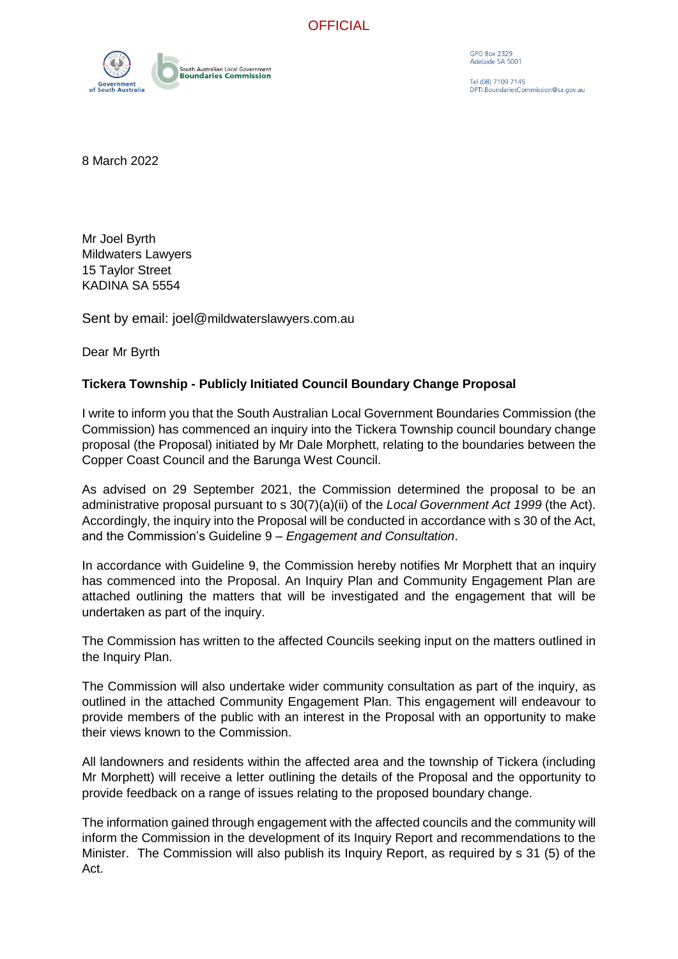**OFFICIAL** 



**GPO Box 2329** Adelaide SA 5001

Tel (08) 7109 7145 PTI. Boundaries Commission@sa.gov.au

8 March 2022

Mr Joel Byrth Mildwaters Lawyers 15 Taylor Street KADINA SA 5554

Sent by email: joel@mildwaterslawyers.com.au

Dear Mr Byrth

## **Tickera Township - Publicly Initiated Council Boundary Change Proposal**

I write to inform you that the South Australian Local Government Boundaries Commission (the Commission) has commenced an inquiry into the Tickera Township council boundary change proposal (the Proposal) initiated by Mr Dale Morphett, relating to the boundaries between the Copper Coast Council and the Barunga West Council.

As advised on 29 September 2021, the Commission determined the proposal to be an administrative proposal pursuant to s 30(7)(a)(ii) of the *Local Government Act 1999* (the Act). Accordingly, the inquiry into the Proposal will be conducted in accordance with s 30 of the Act, and the Commission's Guideline 9 – *Engagement and Consultation*.

In accordance with Guideline 9, the Commission hereby notifies Mr Morphett that an inquiry has commenced into the Proposal. An Inquiry Plan and Community Engagement Plan are attached outlining the matters that will be investigated and the engagement that will be undertaken as part of the inquiry.

The Commission has written to the affected Councils seeking input on the matters outlined in the Inquiry Plan.

The Commission will also undertake wider community consultation as part of the inquiry, as outlined in the attached Community Engagement Plan. This engagement will endeavour to provide members of the public with an interest in the Proposal with an opportunity to make their views known to the Commission.

All landowners and residents within the affected area and the township of Tickera (including Mr Morphett) will receive a letter outlining the details of the Proposal and the opportunity to provide feedback on a range of issues relating to the proposed boundary change.

The information gained through engagement with the affected councils and the community will inform the Commission in the development of its Inquiry Report and recommendations to the Minister. The Commission will also publish its Inquiry Report, as required by s 31 (5) of the Act.